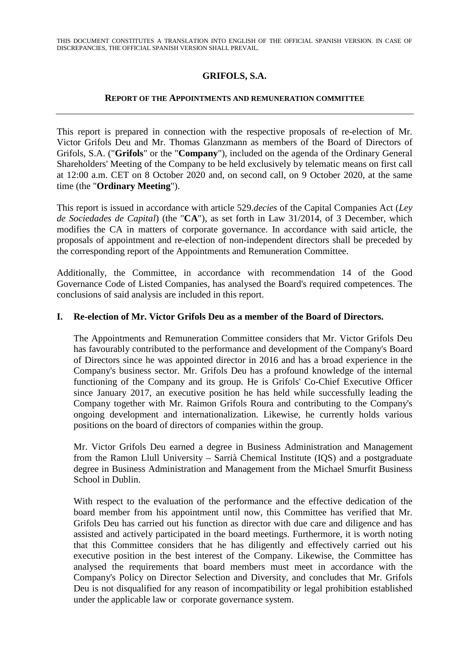# **GRIFOLS, S.A.**

### **REPORT OF THE APPOINTMENTS AND REMUNERATION COMMITTEE**

This report is prepared in connection with the respective proposals of re-election of Mr. Victor Grifols Deu and Mr. Thomas Glanzmann as members of the Board of Directors of Grifols, S.A. ("**Grifols**" or the "**Company**"), included on the agenda of the Ordinary General Shareholders' Meeting of the Company to be held exclusively by telematic means on first call at 12:00 a.m. CET on 8 October 2020 and, on second call, on 9 October 2020, at the same time (the "**Ordinary Meeting**").

This report is issued in accordance with article 529.*decies* of the Capital Companies Act (*Ley de Sociedades de Capital*) (the "**CA**"), as set forth in Law 31/2014, of 3 December, which modifies the CA in matters of corporate governance. In accordance with said article, the proposals of appointment and re-election of non-independent directors shall be preceded by the corresponding report of the Appointments and Remuneration Committee.

Additionally, the Committee, in accordance with recommendation 14 of the Good Governance Code of Listed Companies, has analysed the Board's required competences. The conclusions of said analysis are included in this report.

## **I. Re-election of Mr. Victor Grifols Deu as a member of the Board of Directors.**

The Appointments and Remuneration Committee considers that Mr. Victor Grifols Deu has favourably contributed to the performance and development of the Company's Board of Directors since he was appointed director in 2016 and has a broad experience in the Company's business sector. Mr. Grifols Deu has a profound knowledge of the internal functioning of the Company and its group. He is Grifols' Co-Chief Executive Officer since January 2017, an executive position he has held while successfully leading the Company together with Mr. Raimon Grifols Roura and contributing to the Company's ongoing development and internationalization. Likewise, he currently holds various positions on the board of directors of companies within the group.

Mr. Victor Grifols Deu earned a degree in Business Administration and Management from the Ramon Llull University – Sarrià Chemical Institute (IQS) and a postgraduate degree in Business Administration and Management from the Michael Smurfit Business School in Dublin.

With respect to the evaluation of the performance and the effective dedication of the board member from his appointment until now, this Committee has verified that Mr. Grifols Deu has carried out his function as director with due care and diligence and has assisted and actively participated in the board meetings. Furthermore, it is worth noting that this Committee considers that he has diligently and effectively carried out his executive position in the best interest of the Company. Likewise, the Committee has analysed the requirements that board members must meet in accordance with the Company's Policy on Director Selection and Diversity, and concludes that Mr. Grifols Deu is not disqualified for any reason of incompatibility or legal prohibition established under the applicable law or corporate governance system.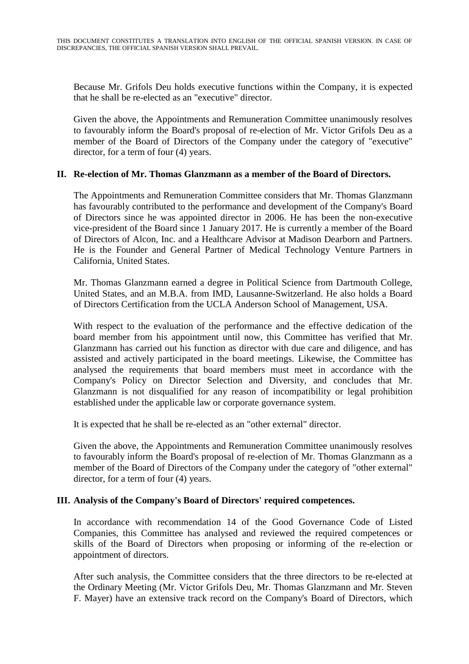Because Mr. Grifols Deu holds executive functions within the Company, it is expected that he shall be re-elected as an "executive" director.

Given the above, the Appointments and Remuneration Committee unanimously resolves to favourably inform the Board's proposal of re-election of Mr. Victor Grifols Deu as a member of the Board of Directors of the Company under the category of "executive" director, for a term of four (4) years.

## **II. Re-election of Mr. Thomas Glanzmann as a member of the Board of Directors.**

The Appointments and Remuneration Committee considers that Mr. Thomas Glanzmann has favourably contributed to the performance and development of the Company's Board of Directors since he was appointed director in 2006. He has been the non-executive vice-president of the Board since 1 January 2017. He is currently a member of the Board of Directors of Alcon, Inc. and a Healthcare Advisor at Madison Dearborn and Partners. He is the Founder and General Partner of Medical Technology Venture Partners in California, United States.

Mr. Thomas Glanzmann earned a degree in Political Science from Dartmouth College, United States, and an M.B.A. from IMD, Lausanne-Switzerland. He also holds a Board of Directors Certification from the UCLA Anderson School of Management, USA.

With respect to the evaluation of the performance and the effective dedication of the board member from his appointment until now, this Committee has verified that Mr. Glanzmann has carried out his function as director with due care and diligence, and has assisted and actively participated in the board meetings. Likewise, the Committee has analysed the requirements that board members must meet in accordance with the Company's Policy on Director Selection and Diversity, and concludes that Mr. Glanzmann is not disqualified for any reason of incompatibility or legal prohibition established under the applicable law or corporate governance system.

It is expected that he shall be re-elected as an "other external" director.

Given the above, the Appointments and Remuneration Committee unanimously resolves to favourably inform the Board's proposal of re-election of Mr. Thomas Glanzmann as a member of the Board of Directors of the Company under the category of "other external" director, for a term of four (4) years.

## **III. Analysis of the Company's Board of Directors' required competences.**

In accordance with recommendation 14 of the Good Governance Code of Listed Companies, this Committee has analysed and reviewed the required competences or skills of the Board of Directors when proposing or informing of the re-election or appointment of directors.

After such analysis, the Committee considers that the three directors to be re-elected at the Ordinary Meeting (Mr. Victor Grifols Deu, Mr. Thomas Glanzmann and Mr. Steven F. Mayer) have an extensive track record on the Company's Board of Directors, which